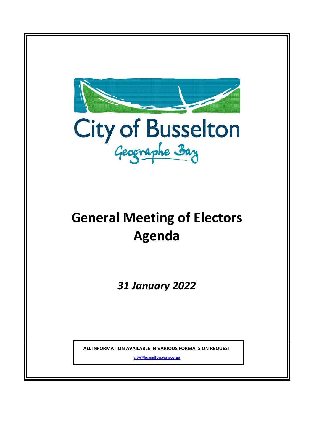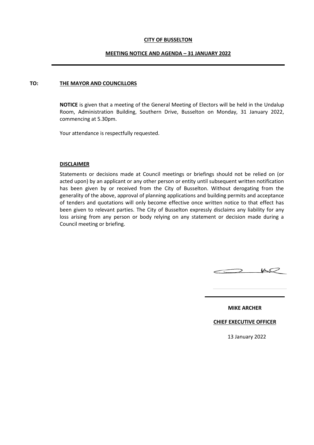#### **CITY OF BUSSELTON**

#### **MEETING NOTICE AND AGENDA – 31 JANUARY 2022**

#### **TO: THE MAYOR AND COUNCILLORS**

**NOTICE** is given that a meeting of the General Meeting of Electors will be held in the Undalup Room, Administration Building, Southern Drive, Busselton on Monday, 31 January 2022, commencing at 5.30pm.

Your attendance is respectfully requested.

#### **DISCLAIMER**

Statements or decisions made at Council meetings or briefings should not be relied on (or acted upon) by an applicant or any other person or entity until subsequent written notification has been given by or received from the City of Busselton. Without derogating from the generality of the above, approval of planning applications and building permits and acceptance of tenders and quotations will only become effective once written notice to that effect has been given to relevant parties. The City of Busselton expressly disclaims any liability for any loss arising from any person or body relying on any statement or decision made during a Council meeting or briefing.



**MIKE ARCHER**

**CHIEF EXECUTIVE OFFICER**

13 January 2022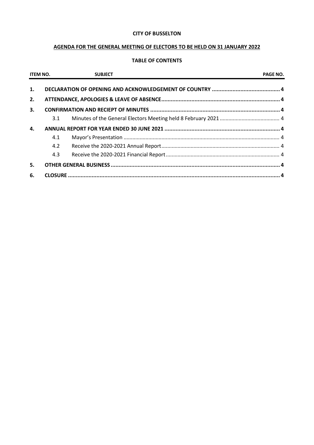## **CITY OF BUSSELTON**

# **AGENDA FOR THE GENERAL MEETING OF ELECTORS TO BE HELD ON 31 JANUARY 2022**

## **TABLE OF CONTENTS**

| <b>ITEM NO.</b> |     | <b>SUBJECT</b> | <b>PAGE NO.</b> |
|-----------------|-----|----------------|-----------------|
| 1.              |     |                |                 |
| 2.              |     |                |                 |
| 3.              |     |                |                 |
|                 | 3.1 |                |                 |
| 4.              |     |                |                 |
|                 | 4.1 |                |                 |
|                 | 4.2 |                |                 |
|                 | 4.3 |                |                 |
| 5.              |     |                |                 |
| 6.              |     |                |                 |